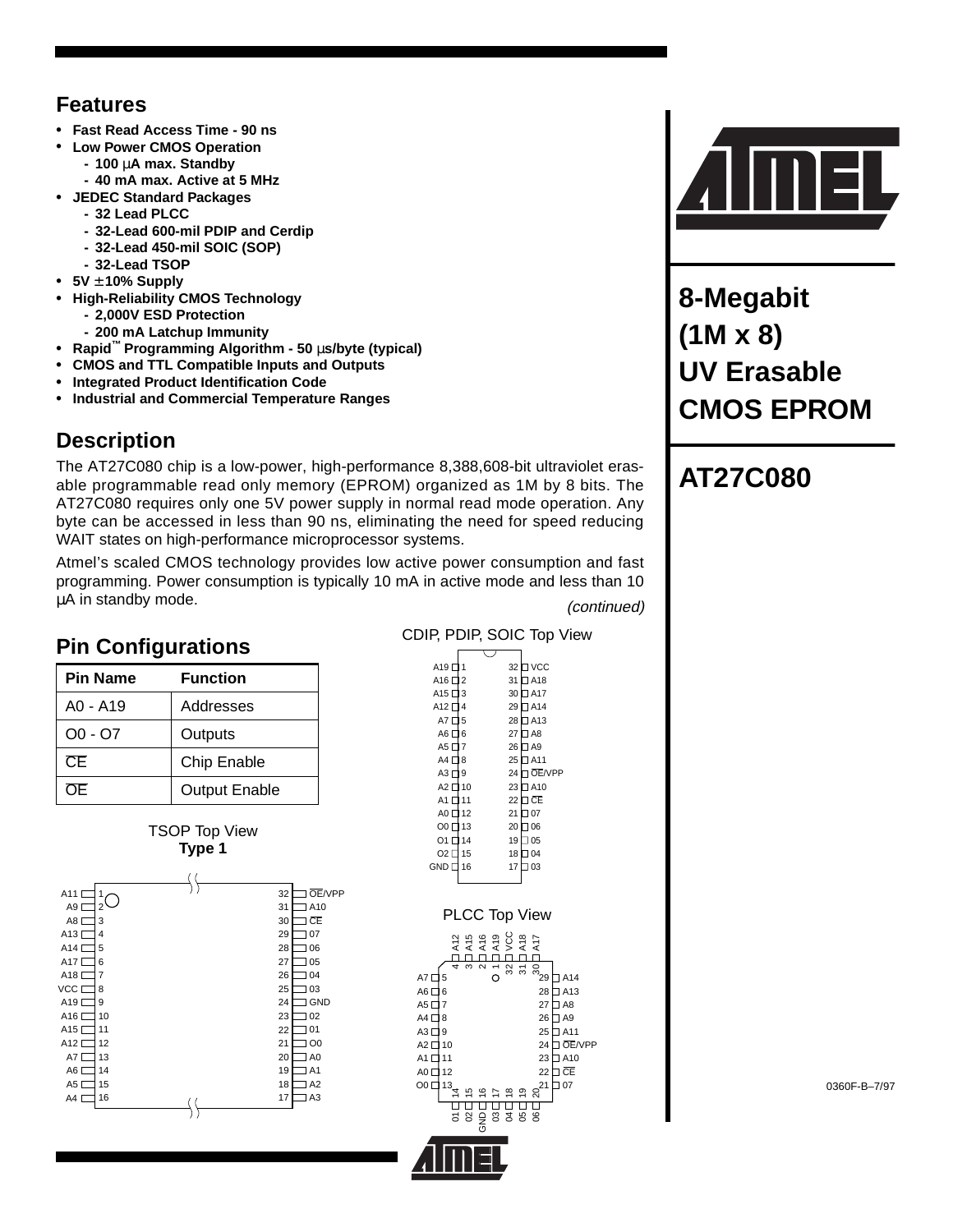## **Features**

- **• Fast Read Access Time 90 ns**
- **• Low Power CMOS Operation**
	- **100** µ**A max. Standby**
- **40 mA max. Active at 5 MHz**
- **• JEDEC Standard Packages**
	- **32 Lead PLCC**
	- **32-Lead 600-mil PDIP and Cerdip**
	- **32-Lead 450-mil SOIC (SOP)**
	- **32-Lead TSOP**
- **• 5V** ± **10% Supply**
- **• High-Reliability CMOS Technology**
	- **2,000V ESD Protection**
	- **200 mA Latchup Immunity**
- **• Rapid™ Programming Algorithm 50** µ**s/byte (typical)**
- **• CMOS and TTL Compatible Inputs and Outputs**
- **• Integrated Product Identification Code**
- **• Industrial and Commercial Temperature Ranges**

## **Description**

The AT27C080 chip is a low-power, high-performance 8,388,608-bit ultraviolet erasable programmable read only memory (EPROM) organized as 1M by 8 bits. The AT27C080 requires only one 5V power supply in normal read mode operation. Any byte can be accessed in less than 90 ns, eliminating the need for speed reducing WAIT states on high-performance microprocessor systems.

Atmel's scaled CMOS technology provides low active power consumption and fast programming. Power consumption is typically 10 mA in active mode and less than 10 µA in standby mode. (continued)

## **Pin Configurations**

| <b>Pin Name</b> | <b>Function</b>      |
|-----------------|----------------------|
| A0 - A19        | Addresses            |
| $OO - O7$       | Outputs              |
| CE.             | Chip Enable          |
| OF.             | <b>Output Enable</b> |





CDIP, PDIP, SOIC Top View A19 囗 1 32 VCC

| A <sub>16</sub> $\square$ | 2                           | 31                       |                             | ∃ A18          |           |  |
|---------------------------|-----------------------------|--------------------------|-----------------------------|----------------|-----------|--|
| A <sub>15</sub> $\square$ | 3                           |                          | 30                          | IA17           |           |  |
| A12 $\square$             | $\overline{4}$              |                          | 29                          | $\Box$ A14     |           |  |
| AT                        | 5                           |                          | 28                          | 1A13           |           |  |
| AG                        | 6                           |                          | 27<br>$\Box$ A8             |                |           |  |
| AS <sub>1</sub>           | $\overline{7}$              | 26                       |                             | $\Box$ A9      |           |  |
| $A4 \Box 8$               |                             | 25                       |                             | $J$ A11        |           |  |
| $A3\square$               | 9                           | 24                       |                             | <b>JOE/VPP</b> |           |  |
| $A2 \square 10$           |                             | 23                       |                             | $J$ A10        |           |  |
| A1                        | 111                         | 22                       | ⊐ CE                        |                |           |  |
| AO                        | 12                          | 21                       | 707                         |                |           |  |
| O0 <sub>L</sub>           | 13                          | 20                       | $\overline{0}06$            |                |           |  |
| 01 L                      | 14                          | 19                       | $\Box$ 05                   |                |           |  |
| O2 <sub>2</sub>           | 15                          | 18                       | $\overline{\phantom{0}}$ 04 |                |           |  |
| <b>GND</b> <sub>L</sub>   | 16                          | 17                       | 103                         |                |           |  |
|                           |                             |                          |                             |                |           |  |
|                           |                             |                          |                             |                |           |  |
|                           | PLCC Top View               |                          |                             |                |           |  |
|                           |                             |                          |                             |                |           |  |
|                           | 215<br>2000<br>2000<br>2002 |                          |                             |                |           |  |
|                           |                             |                          |                             |                |           |  |
| 4<br>A7[<br>5             | ω<br>$\mathbf{\Omega}$      | $\overline{ }$<br>8<br>Ć | న్                          | ್ಲ<br>29       | A14       |  |
| A6 [<br>6                 |                             |                          |                             | 28             | IA13      |  |
| A5 [<br>7                 |                             |                          |                             | 27             | A6        |  |
| A4 [<br>8                 |                             |                          |                             | 26             | $\Box$ A9 |  |
| A3 [<br>9                 |                             |                          |                             | 25             | $J$ A11   |  |
| A2 [<br>10                |                             |                          |                             | 24             | ∃ OE/VPP  |  |
|                           |                             |                          |                             |                | $J$ A10   |  |
| A1 [<br>11                |                             |                          |                             | 23             |           |  |
| A0 [<br>12                |                             |                          |                             | 22             | ] CE      |  |
| O <sub>0</sub><br>13      |                             | $\frac{4}{9}$            | $rac{8}{\square}$           | 21<br>ର        | 107       |  |
|                           |                             | Ĥ                        |                             |                |           |  |
| 5                         | 8                           | <u>ទ</u><br>ខេត្តខ្ទ     |                             |                |           |  |
|                           |                             |                          |                             |                |           |  |
|                           |                             |                          |                             |                |           |  |
|                           |                             |                          |                             |                |           |  |
|                           |                             |                          |                             |                |           |  |



**8-Megabit (1M x 8) UV Erasable CMOS EPROM**

# **AT27C080**

0360F-B–7/97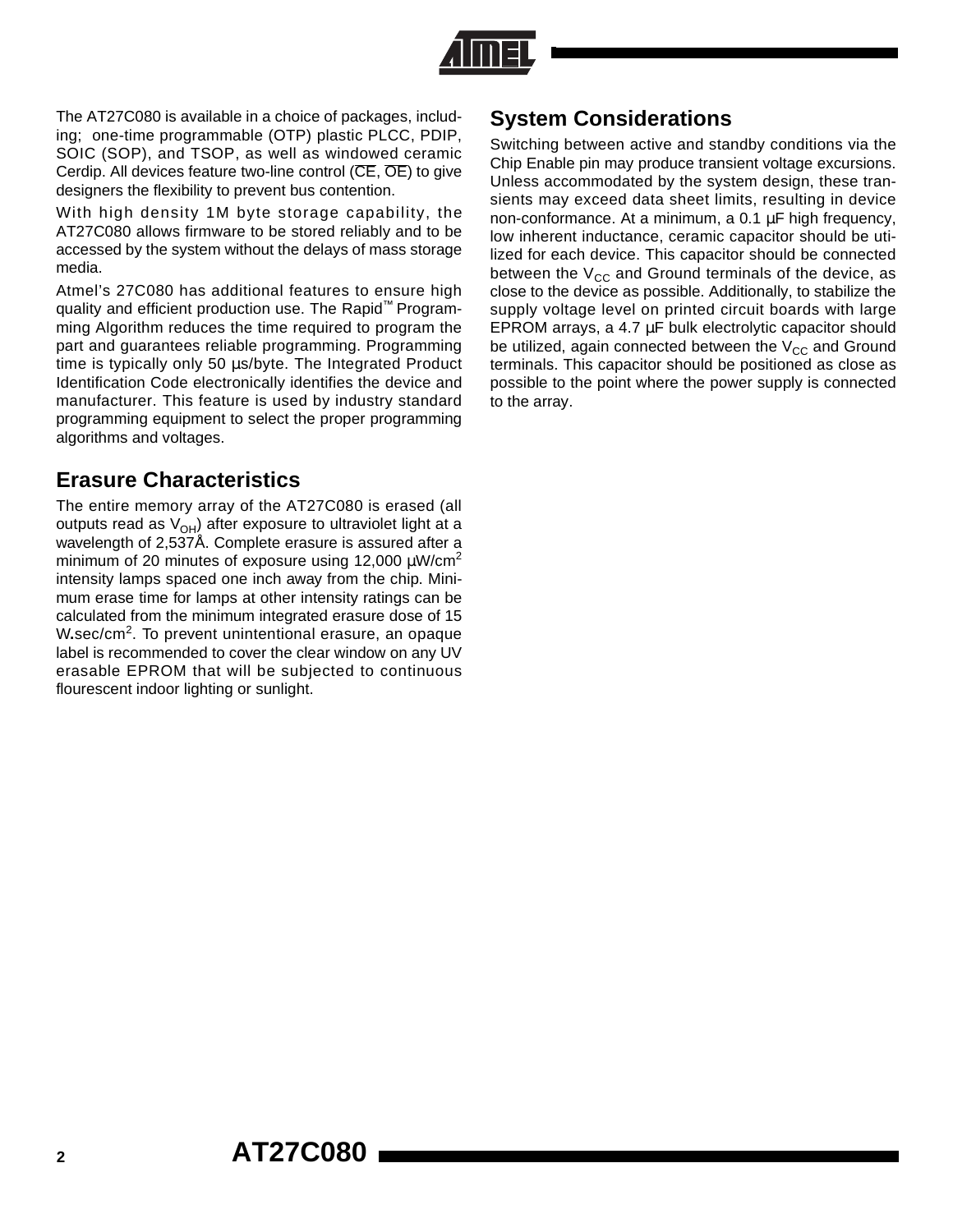

The AT27C080 is available in a choice of packages, including; one-time programmable (OTP) plastic PLCC, PDIP, SOIC (SOP), and TSOP, as well as windowed ceramic Cerdip. All devices feature two-line control (CE, OE) to give designers the flexibility to prevent bus contention.

With high density 1M byte storage capability, the AT27C080 allows firmware to be stored reliably and to be accessed by the system without the delays of mass storage media.

Atmel's 27C080 has additional features to ensure high quality and efficient production use. The Rapid™ Programming Algorithm reduces the time required to program the part and guarantees reliable programming. Programming time is typically only 50 µs/byte. The Integrated Product Identification Code electronically identifies the device and manufacturer. This feature is used by industry standard programming equipment to select the proper programming algorithms and voltages.

## **Erasure Characteristics**

The entire memory array of the AT27C080 is erased (all outputs read as  $V_{OH}$ ) after exposure to ultraviolet light at a wavelength of 2,537Å. Complete erasure is assured after a minimum of 20 minutes of exposure using 12,000  $\mu$ W/cm<sup>2</sup> intensity lamps spaced one inch away from the chip. Minimum erase time for lamps at other intensity ratings can be calculated from the minimum integrated erasure dose of 15 W**.**sec/cm2. To prevent unintentional erasure, an opaque label is recommended to cover the clear window on any UV erasable EPROM that will be subjected to continuous flourescent indoor lighting or sunlight.

## **System Considerations**

Switching between active and standby conditions via the Chip Enable pin may produce transient voltage excursions. Unless accommodated by the system design, these transients may exceed data sheet limits, resulting in device non-conformance. At a minimum, a 0.1 µF high frequency, low inherent inductance, ceramic capacitor should be utilized for each device. This capacitor should be connected between the  $V_{CC}$  and Ground terminals of the device, as close to the device as possible. Additionally, to stabilize the supply voltage level on printed circuit boards with large EPROM arrays, a 4.7 µF bulk electrolytic capacitor should be utilized, again connected between the  $V_{CC}$  and Ground terminals. This capacitor should be positioned as close as possible to the point where the power supply is connected to the array.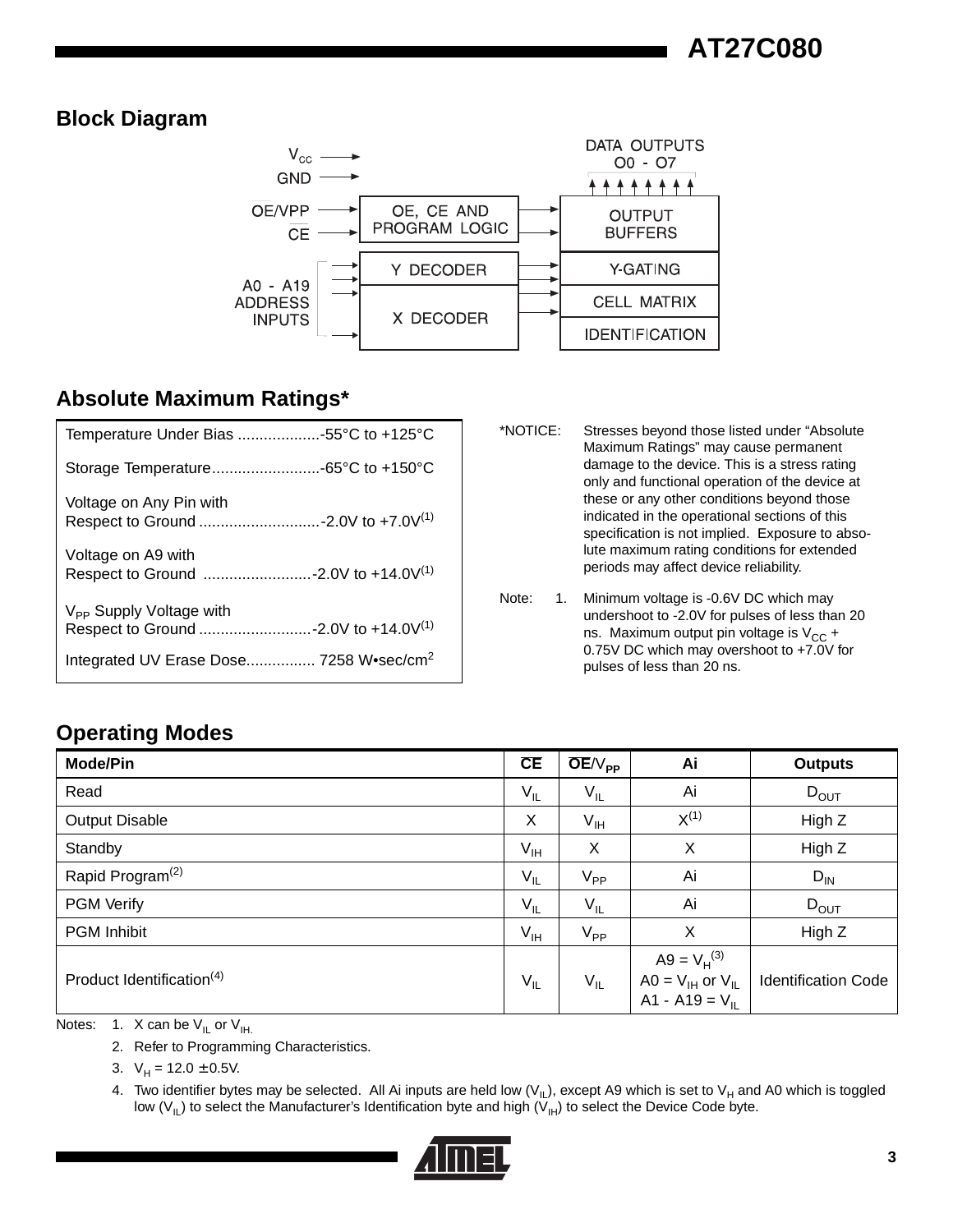## **Block Diagram**



## **Absolute Maximum Ratings\***

| Temperature Under Bias 55°C to +125°C               |  |
|-----------------------------------------------------|--|
|                                                     |  |
| Voltage on Any Pin with                             |  |
| Voltage on A9 with                                  |  |
| V <sub>PP</sub> Supply Voltage with                 |  |
| Integrated UV Erase Dose 7258 W•sec/cm <sup>2</sup> |  |

- \*NOTICE: Stresses beyond those listed under "Absolute Maximum Ratings" may cause permanent damage to the device. This is a stress rating only and functional operation of the device at these or any other conditions beyond those indicated in the operational sections of this specification is not implied. Exposure to absolute maximum rating conditions for extended periods may affect device reliability.
- Note: 1. Minimum voltage is -0.6V DC which may undershoot to -2.0V for pulses of less than 20 ns. Maximum output pin voltage is  $V_{CC}$  + 0.75V DC which may overshoot to +7.0V for pulses of less than 20 ns.

## **Operating Modes**

| <b>Mode/Pin</b>                       | CE              | $OE/V_{PP}$                | Ai                                                                   | <b>Outputs</b>             |
|---------------------------------------|-----------------|----------------------------|----------------------------------------------------------------------|----------------------------|
| Read                                  | $V_{IL}$        | $V_{IL}$                   | Ai                                                                   | $D_{OUT}$                  |
| <b>Output Disable</b>                 | X               | $V_{\text{IH}}$            | $X^{(1)}$                                                            | High Z                     |
| Standby                               | $V_{\text{IH}}$ | X                          | X                                                                    | High Z                     |
| Rapid Program <sup>(2)</sup>          | $V_{IL}$        | $\mathsf{V}_{\mathsf{PP}}$ | Ai                                                                   | $D_{IN}$                   |
| <b>PGM Verify</b>                     | $V_{IL}$        | $V_{IL}$                   | Ai                                                                   | $D_{OUT}$                  |
| <b>PGM Inhibit</b>                    | $V_{\text{IH}}$ | $V_{\mathsf{PP}}$          | X                                                                    | High Z                     |
| Product Identification <sup>(4)</sup> | $V_{IL}$        | $V_{IL}$                   | $A9 = V_H^{(3)}$<br>$AO = V_{IH}$ or $V_{IL}$<br>A1 - A19 = $V_{II}$ | <b>Identification Code</b> |

Notes: 1. X can be  $V_{IL}$  or  $V_{IH.}$ 

2. Refer to Programming Characteristics.

3.  $V_H = 12.0 \pm 0.5V$ .

4. Two identifier bytes may be selected. All Ai inputs are held low (V<sub>IL</sub>), except A9 which is set to V<sub>H</sub> and A0 which is toggled low (V<sub>IL</sub>) to select the Manufacturer's Identification byte and high (V<sub>IH</sub>) to select the Device Code byte.

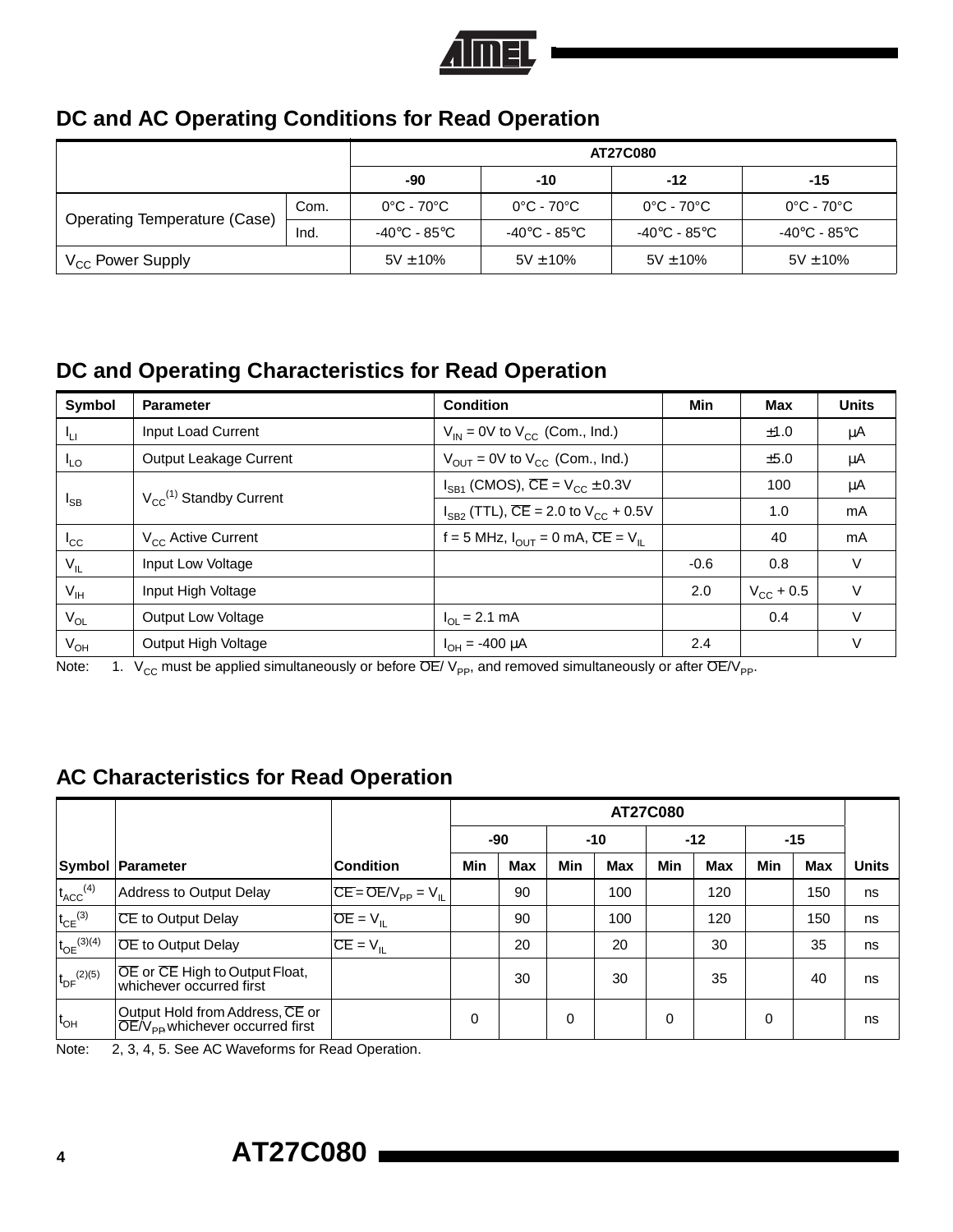

## **DC and AC Operating Conditions for Read Operation**

|                                     |      |                                 | <b>AT27C080</b>                 |                                 |                                 |  |  |  |  |
|-------------------------------------|------|---------------------------------|---------------------------------|---------------------------------|---------------------------------|--|--|--|--|
|                                     | -90  | $-10$                           | $-12$                           | $-15$                           |                                 |  |  |  |  |
|                                     | Com. | $0^{\circ}$ C - 70 $^{\circ}$ C | $0^{\circ}$ C - 70 $^{\circ}$ C | $0^{\circ}$ C - 70 $^{\circ}$ C | $0^{\circ}$ C - 70 $^{\circ}$ C |  |  |  |  |
| <b>Operating Temperature (Case)</b> | Ind. | -40°C - 85°C                    | -40°C - 85°C                    | -40°C - 85°C                    | -40°C - 85°C                    |  |  |  |  |
| V <sub>CC</sub> Power Supply        |      | $5V \pm 10\%$                   | $5V \pm 10\%$                   | $5V \pm 10\%$                   | $5V \pm 10\%$                   |  |  |  |  |

## **DC and Operating Characteristics for Read Operation**

| <b>Symbol</b>   | <b>Condition</b><br><b>Parameter</b>  |                                                                            | Min    | Max                | <b>Units</b> |
|-----------------|---------------------------------------|----------------------------------------------------------------------------|--------|--------------------|--------------|
| ۱u              | Input Load Current                    | $V_{IN}$ = 0V to $V_{CC}$ (Com., Ind.)                                     |        | ±1.0               | μA           |
| $I_{LO}$        | Output Leakage Current                | $V_{\text{OUT}} = 0V$ to $V_{\text{CC}}$ (Com., Ind.)                      |        | ±5.0               | μA           |
|                 |                                       | $I_{SB1}$ (CMOS), $CE = V_{CC} \pm 0.3V$                                   |        | 100                | μA           |
| $I_{SB}$        | $V_{\text{c}e}^{(1)}$ Standby Current | $I_{SB2}$ (TTL), $\overline{CE}$ = 2.0 to $V_{CC}$ + 0.5V                  |        | 1.0                | mA           |
| $I_{\rm CC}$    | $V_{\rm cc}$ Active Current           | f = 5 MHz, $I_{\text{OUT}} = 0$ mA, $\overline{\text{CE}} = V_{\text{II}}$ |        | 40                 | mA           |
| $V_{IL}$        | Input Low Voltage                     |                                                                            | $-0.6$ | 0.8                | $\vee$       |
| $V_{\text{IH}}$ | Input High Voltage                    |                                                                            | 2.0    | $V_{\rm CC}$ + 0.5 | V            |
| $V_{OL}$        | <b>Output Low Voltage</b>             | $I_{\Omega}$ = 2.1 mA                                                      |        | 0.4                | $\vee$       |
| $V_{OH}$        | Output High Voltage                   | $I_{OH} = -400 \mu A$                                                      | 2.4    |                    | V            |

Note: 1.  $V_{CC}$  must be applied simultaneously or before  $\overline{OE}/V_{PP}$ , and removed simultaneously or after  $\overline{OE}/V_{PP}$ .

## **AC Characteristics for Read Operation**

|                          |                                                                                           |                           | <b>AT27C080</b> |            |     |            |          |            |                |            |              |
|--------------------------|-------------------------------------------------------------------------------------------|---------------------------|-----------------|------------|-----|------------|----------|------------|----------------|------------|--------------|
|                          |                                                                                           |                           |                 | $-90$      |     | -10        |          |            | $-12$<br>$-15$ |            |              |
|                          | <b>Symbol Parameter</b>                                                                   | <b>Condition</b>          | Min             | <b>Max</b> | Min | <b>Max</b> | Min      | <b>Max</b> | Min            | <b>Max</b> | <b>Units</b> |
| $t_{ACC}$ <sup>(4)</sup> | Address to Output Delay                                                                   | $CE = OE/V_{PP} = V_{IL}$ |                 | 90         |     | 100        |          | 120        |                | 150        | ns           |
| $t_{CE}$ <sup>(3)</sup>  | CE to Output Delay                                                                        | $OE = V_{IL}$             |                 | 90         |     | 100        |          | 120        |                | 150        | ns           |
| $t_{OE}^{(3)(4)}$        | <b>OE</b> to Output Delay                                                                 | $CE = V_{IL}$             |                 | 20         |     | 20         |          | 30         |                | 35         | ns           |
| $t_{DF}^{(2)(5)}$        | OE or CE High to Output Float,<br>whichever occurred first                                |                           |                 | 30         |     | 30         |          | 35         |                | 40         | ns           |
| $t_{OH}$                 | Output Hold from Address, CE or<br>$\overline{OE}/V_{\text{PB}}$ whichever occurred first |                           | 0               |            | 0   |            | $\Omega$ |            | 0              |            | ns           |

Note: 2, 3, 4, 5. See AC Waveforms for Read Operation.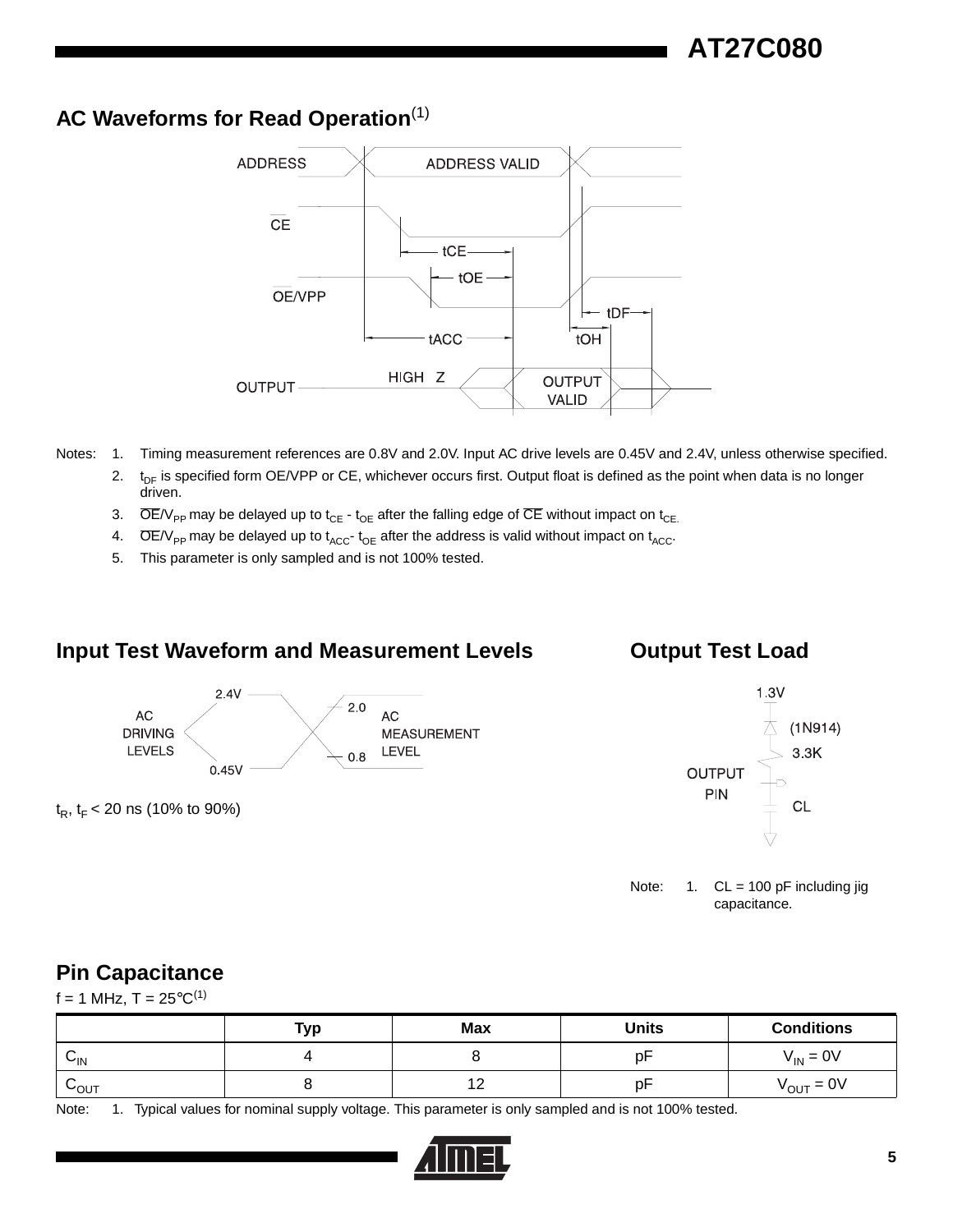## **AC Waveforms for Read Operation**(1)



- Notes: 1. Timing measurement references are 0.8V and 2.0V. Input AC drive levels are 0.45V and 2.4V, unless otherwise specified.
	- 2.  $t_{DF}$  is specified form OE/VPP or CE, whichever occurs first. Output float is defined as the point when data is no longer driven.
	- 3.  $\overline{OE/V_{\text{PP}}}$  may be delayed up to t<sub>CE</sub> t<sub>OE</sub> after the falling edge of  $\overline{CE}$  without impact on t<sub>CE.</sub>
	- 4.  $\overline{OE/V_{PP}}$  may be delayed up to  $t_{ACC}$ - $t_{OE}$  after the address is valid without impact on  $t_{ACC}$ .
	- 5. This parameter is only sampled and is not 100% tested.

#### **Input Test Waveform and Measurement Levels**

#### **Output Test Load**



 $t_R$ ,  $t_F$  < 20 ns (10% to 90%)

![](_page_4_Figure_12.jpeg)

Note:  $1.$  CL = 100 pF including jig capacitance.

## **Pin Capacitance**

 $f = 1$  MHz,  $T = 25^{\circ}C^{(1)}$ 

|                      | <b>Typ</b> | <b>Max</b> | <b>Units</b> | <b>Conditions</b>     |
|----------------------|------------|------------|--------------|-----------------------|
| ⌒<br>$V_{\text{IN}}$ |            |            | p۲           | $V_{IN} = 0V$         |
| LOUT                 |            | יי         | рF           | $V_{\text{OUT}} = 0V$ |

Note: 1. Typical values for nominal supply voltage. This parameter is only sampled and is not 100% tested.

![](_page_4_Picture_18.jpeg)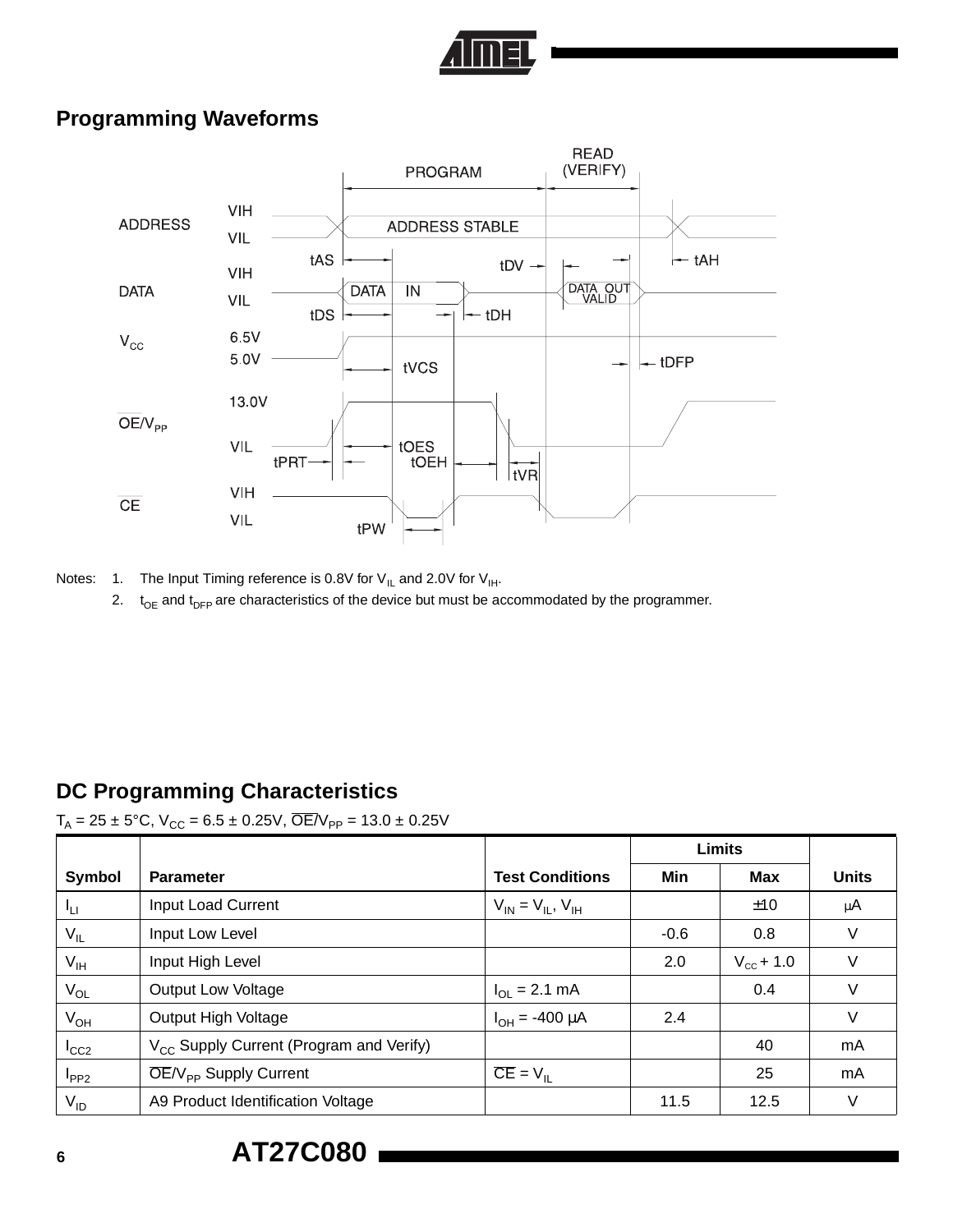![](_page_5_Picture_0.jpeg)

## **Programming Waveforms**

![](_page_5_Figure_2.jpeg)

Notes: 1. The Input Timing reference is 0.8V for  $V_{IL}$  and 2.0V for  $V_{IH}$ .

2.  $t_{OE}$  and  $t_{DFP}$  are characteristics of the device but must be accommodated by the programmer.

## **DC Programming Characteristics**

#### $T_A = 25 \pm 5^{\circ}\text{C}$ ,  $V_{\text{CC}} = 6.5 \pm 0.25 \text{V}$ ,  $\overline{\text{OE}}/V_{\text{PP}} = 13.0 \pm 0.25 \text{V}$

|                 |                                                     |                                  |        | <b>Limits</b>      |              |
|-----------------|-----------------------------------------------------|----------------------------------|--------|--------------------|--------------|
| <b>Symbol</b>   | <b>Parameter</b>                                    | <b>Test Conditions</b>           | Min    | <b>Max</b>         | <b>Units</b> |
| Ιu              | <b>Input Load Current</b>                           | $V_{IN} = V_{II}$ , $V_{IH}$     |        | ±10                | μ $A$        |
| $V_{IL}$        | Input Low Level                                     |                                  | $-0.6$ | 0.8                | V            |
| $V_{\text{IH}}$ | Input High Level                                    |                                  | 2.0    | $V_{\rm cc}$ + 1.0 | V            |
| $V_{OL}$        | <b>Output Low Voltage</b>                           | $I_{\text{OI}} = 2.1 \text{ mA}$ |        | 0.4                | $\vee$       |
| $V_{OH}$        | Output High Voltage                                 | $I_{OH} = -400 \mu A$            | 2.4    |                    | V            |
| $I_{CC2}$       | V <sub>CC</sub> Supply Current (Program and Verify) |                                  |        | 40                 | mA           |
| $I_{PP2}$       | $\overline{OE}/V_{\text{pp}}$ Supply Current        | $CE = VII$                       |        | 25                 | mA           |
| $V_{ID}$        | A9 Product Identification Voltage                   |                                  | 11.5   | 12.5               | V            |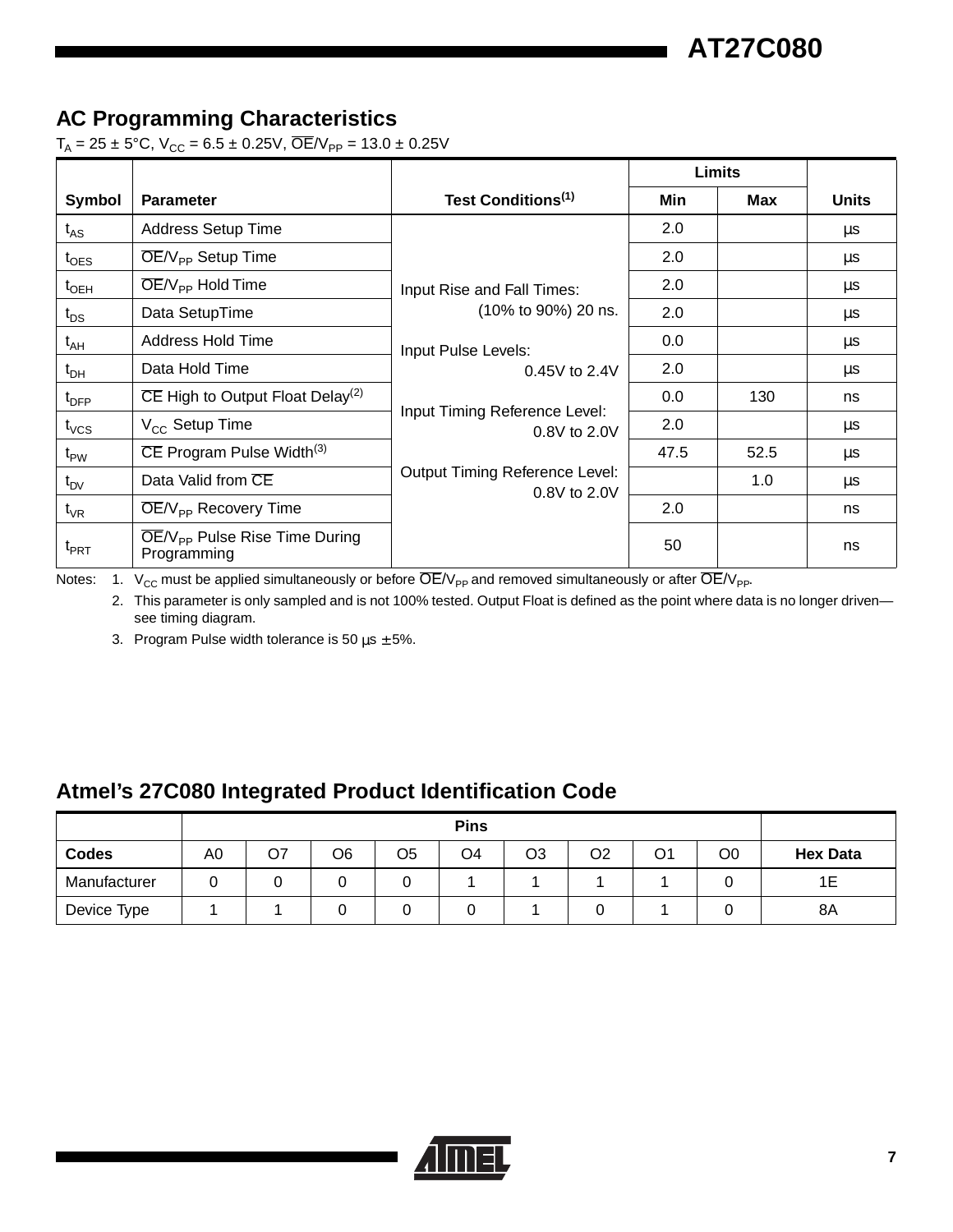**AT27C080**

## **AC Programming Characteristics**

 $T_A = 25 \pm 5^{\circ}$ C, V<sub>CC</sub> = 6.5 ± 0.25V, OE/V<sub>PP</sub> = 13.0 ± 0.25V

|                  |                                                           |                                                       |      | Limits |              |
|------------------|-----------------------------------------------------------|-------------------------------------------------------|------|--------|--------------|
| Symbol           | <b>Parameter</b>                                          | Test Conditions <sup>(1)</sup>                        | Min  | Max    | <b>Units</b> |
| $t_{AS}$         | <b>Address Setup Time</b>                                 |                                                       | 2.0  |        | μs           |
| $t_{\text{OES}}$ | $\overline{OE}/V_{\text{pp}}$ Setup Time                  |                                                       | 2.0  |        | μs           |
| $t_{\sf OEH}$    | $\overline{\text{OE}}/V_{\text{PP}}$ Hold Time            | Input Rise and Fall Times:                            | 2.0  |        | μs           |
| $t_{DS}$         | Data SetupTime                                            | (10% to 90%) 20 ns.                                   | 2.0  |        | μs           |
| $t_{AH}$         | Address Hold Time                                         | Input Pulse Levels:                                   | 0.0  |        | μs           |
| $t_{\sf DH}$     | Data Hold Time                                            | $0.45V$ to $2.4V$                                     | 2.0  |        | μs           |
| $t_{\text{DFP}}$ | $\overline{CE}$ High to Output Float Delay <sup>(2)</sup> |                                                       | 0.0  | 130    | ns           |
| $t_{\text{VCS}}$ | $V_{CC}$ Setup Time                                       | Input Timing Reference Level:<br>0.8V to 2.0V         | 2.0  |        | μs           |
| $t_{\text{PW}}$  | CE Program Pulse Width <sup>(3)</sup>                     |                                                       | 47.5 | 52.5   | μs           |
| $t_{\text{DV}}$  | Data Valid from CE                                        | <b>Output Timing Reference Level:</b><br>0.8V to 2.0V |      | 1.0    | μs           |
| $t_{VR}$         | $\overline{OE}/V_{\text{pp}}$ Recovery Time               |                                                       | 2.0  |        | ns           |
| $t_{\sf PRT}$    | OE/V <sub>PP</sub> Pulse Rise Time During<br>Programming  |                                                       | 50   |        | ns           |

Notes: 1.  $V_{CC}$  must be applied simultaneously or before  $\overline{OE}/V_{PP}$  and removed simultaneously or after  $\overline{OE}/V_{PP}$ .

2. This parameter is only sampled and is not 100% tested. Output Float is defined as the point where data is no longer drivensee timing diagram.

3. Program Pulse width tolerance is 50  $\mu$ s  $\pm$  5%.

## **Atmel's 27C080 Integrated Product Identification Code**

|              | <b>Pins</b> |    |    |                |    |                |    |                |                |                 |
|--------------|-------------|----|----|----------------|----|----------------|----|----------------|----------------|-----------------|
| <b>Codes</b> | A0          | О7 | O6 | O <sub>5</sub> | O4 | O <sub>3</sub> | O2 | O <sub>1</sub> | O <sub>0</sub> | <b>Hex Data</b> |
| Manufacturer |             |    |    |                |    |                |    |                |                |                 |
| Device Type  |             |    |    |                |    |                |    |                |                | 8A              |

![](_page_6_Picture_9.jpeg)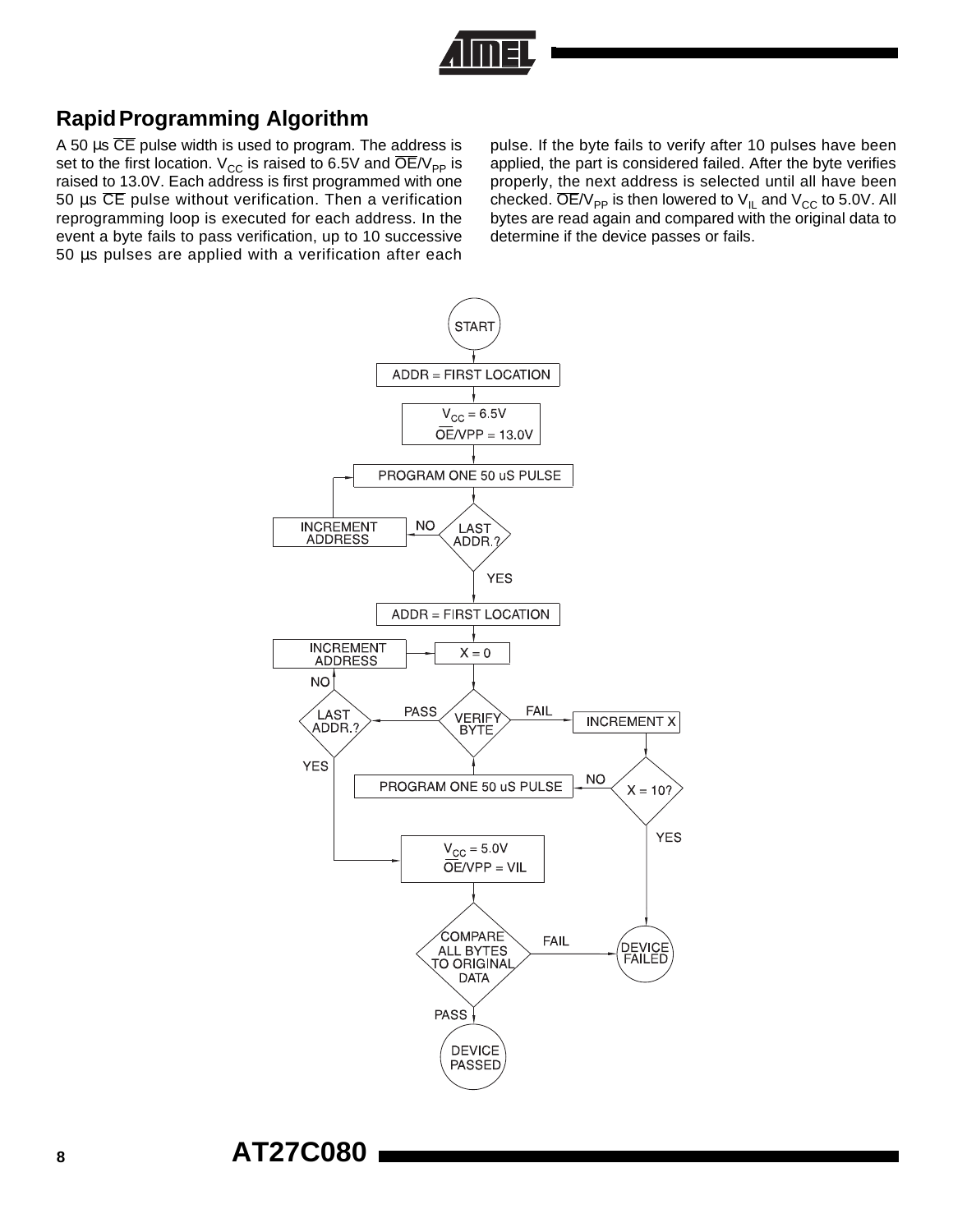![](_page_7_Figure_0.jpeg)

## **RapidProgramming Algorithm**

A 50  $\mu$ s  $\overline{\text{CE}}$  pulse width is used to program. The address is set to the first location.  $V_{CC}$  is raised to 6.5V and  $\overline{OE}/V_{PP}$  is raised to 13.0V. Each address is first programmed with one 50  $\mu$ s CE pulse without verification. Then a verification reprogramming loop is executed for each address. In the event a byte fails to pass verification, up to 10 successive 50 µs pulses are applied with a verification after each pulse. If the byte fails to verify after 10 pulses have been applied, the part is considered failed. After the byte verifies properly, the next address is selected until all have been checked.  $\overline{OE}/V_{PP}$  is then lowered to  $V_{IL}$  and  $V_{CC}$  to 5.0V. All bytes are read again and compared with the original data to determine if the device passes or fails.

![](_page_7_Figure_4.jpeg)

**<sup>8</sup> AT27C080**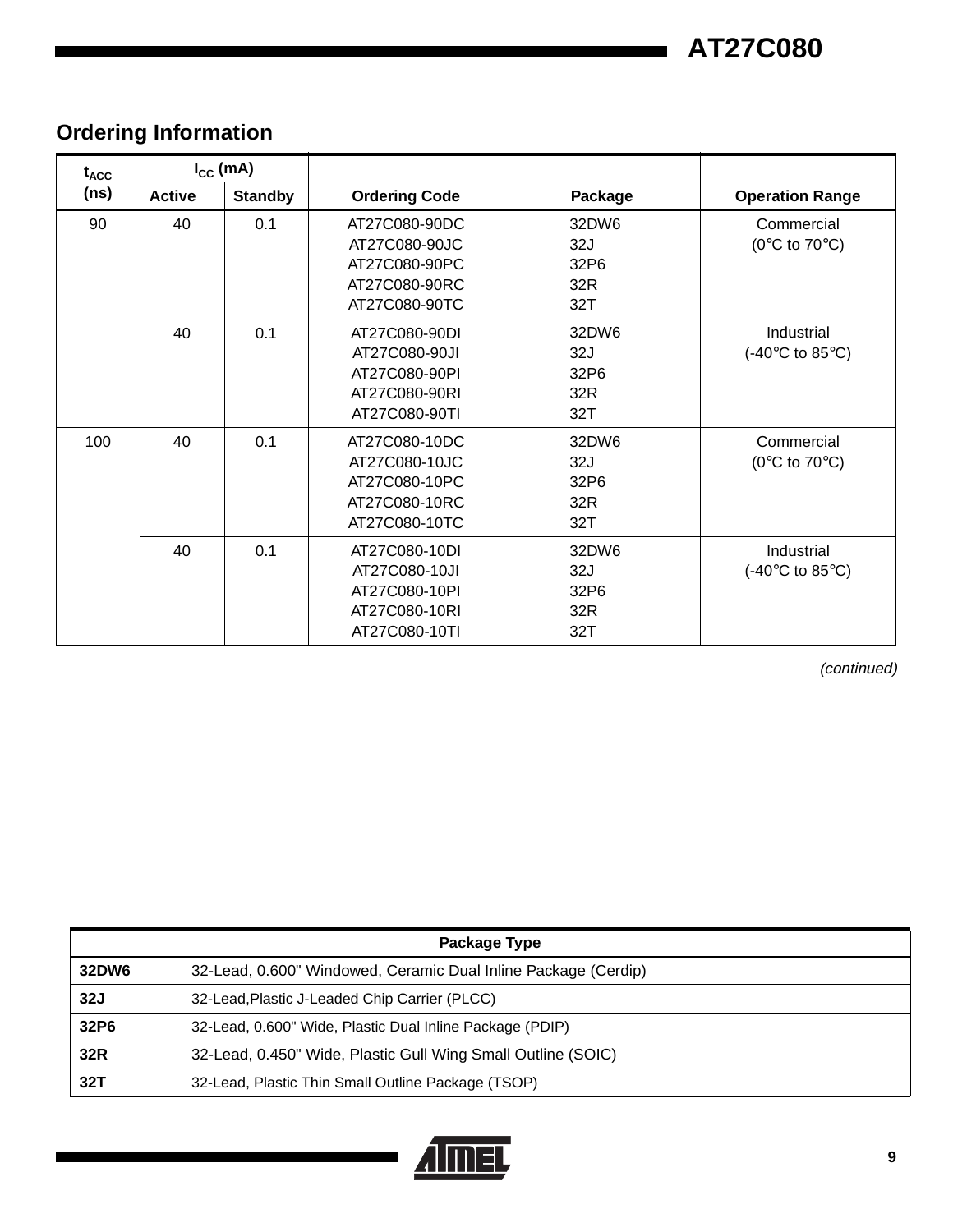**AT27C080**

## **Ordering Information**

| $t_{\text{ACC}}$ |               | $I_{\rm CC}$ (mA) |                                                                                   |                                    |                                                        |
|------------------|---------------|-------------------|-----------------------------------------------------------------------------------|------------------------------------|--------------------------------------------------------|
| (ns)             | <b>Active</b> | <b>Standby</b>    | <b>Ordering Code</b>                                                              | Package                            | <b>Operation Range</b>                                 |
| 90               | 40            | 0.1               | AT27C080-90DC<br>AT27C080-90JC<br>AT27C080-90PC<br>AT27C080-90RC<br>AT27C080-90TC | 32DW6<br>32J<br>32P6<br>32R<br>32T |                                                        |
|                  | 40            | 0.1               | AT27C080-90DI<br>AT27C080-90JI<br>AT27C080-90PI<br>AT27C080-90RI<br>AT27C080-90TI | 32DW6<br>32J<br>32P6<br>32R<br>32T | Industrial<br>$(-40^{\circ}C \text{ to } 85^{\circ}C)$ |
| 100              | 40            | 0.1               | AT27C080-10DC<br>AT27C080-10JC<br>AT27C080-10PC<br>AT27C080-10RC<br>AT27C080-10TC | 32DW6<br>32J<br>32P6<br>32R<br>32T | Commercial<br>( $0^{\circ}$ C to $70^{\circ}$ C)       |
|                  | 40            | 0.1               | AT27C080-10DI<br>AT27C080-10JI<br>AT27C080-10PI<br>AT27C080-10RI<br>AT27C080-10TI | 32DW6<br>32J<br>32P6<br>32R<br>32T | Industrial<br>$(-40^{\circ}C \text{ to } 85^{\circ}C)$ |

(continued)

| Package Type |                                                                |  |  |  |
|--------------|----------------------------------------------------------------|--|--|--|
| 32DW6        | 32-Lead, 0.600" Windowed, Ceramic Dual Inline Package (Cerdip) |  |  |  |
| 32J          | 32-Lead, Plastic J-Leaded Chip Carrier (PLCC)                  |  |  |  |
| 32P6         | 32-Lead, 0.600" Wide, Plastic Dual Inline Package (PDIP)       |  |  |  |
| 32R          | 32-Lead, 0.450" Wide, Plastic Gull Wing Small Outline (SOIC)   |  |  |  |
| 32T          | 32-Lead, Plastic Thin Small Outline Package (TSOP)             |  |  |  |

![](_page_8_Picture_5.jpeg)